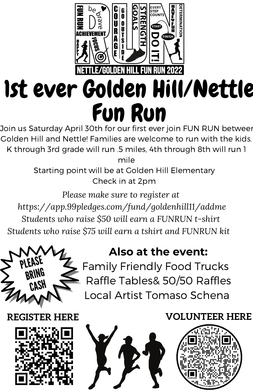

Golden Hill and Nettle! Families are welcome to run with the kids. K through 3rd grade will run .5 miles, 4th through 8th will run 1

mile

Starting point will be at Golden Hill Elementary Check in at 2pm

*Please make sure to register at <https://app.99pledges.com/fund/goldenhill11/addme> Students who raise \$50 will earn a FUNRUN t-shirt Students who raise \$75 will earn a tshirt and FUNRUN kit*



## **Also at the event:**

Family Friendly Food Trucks Raffle Tables& 50/50 Raffles Local Artist Tomaso Schena

## **REGISTER HERE**